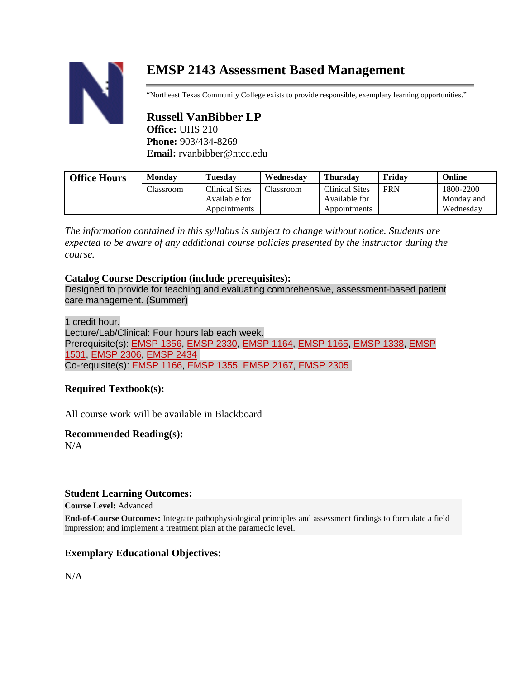# **EMSP 2143 Assessment Based Management**

"Northeast Texas Community College exists to provide responsible, exemplary learning opportunities."

# **Russell VanBibber LP Office:** UHS 210 **Phone:** 903/434-8269 **Email:** rvanbibber@ntcc.edu

| <b>Office Hours</b> | <b>Monday</b> | <b>Tuesday</b> | Wednesday | Thursdav              | Fridav     | <b>Online</b> |
|---------------------|---------------|----------------|-----------|-----------------------|------------|---------------|
|                     | Classroom     | Clinical Sites | Classroom | <b>Clinical Sites</b> | <b>PRN</b> | 1800-2200     |
|                     |               | Available for  |           | Available for         |            | Monday and    |
|                     |               | Appointments   |           | Appointments          |            | Wednesday     |

*The information contained in this syllabus is subject to change without notice. Students are expected to be aware of any additional course policies presented by the instructor during the course.*

# **Catalog Course Description (include prerequisites):**

Designed to provide for teaching and evaluating comprehensive, assessment-based patient care management. (Summer)

1 credit hour.

Lecture/Lab/Clinical: Four hours lab each week. Prerequisite(s): [EMSP](http://catalog.ntcc.edu/preview_program.php?catoid=11&poid=1542&returnto=1190#tt7872) 1356, [EMSP](http://catalog.ntcc.edu/preview_program.php?catoid=11&poid=1542&returnto=1190#tt6655) 2330, [EMSP](http://catalog.ntcc.edu/preview_program.php?catoid=11&poid=1542&returnto=1190#tt1958) 1164, [EMSP](http://catalog.ntcc.edu/preview_program.php?catoid=11&poid=1542&returnto=1190#tt3513) 1165, [EMSP](http://catalog.ntcc.edu/preview_program.php?catoid=11&poid=1542&returnto=1190#tt1757) 1338, [EMSP](http://catalog.ntcc.edu/preview_program.php?catoid=11&poid=1542&returnto=1190#tt403) [1501,](http://catalog.ntcc.edu/preview_program.php?catoid=11&poid=1542&returnto=1190#tt403) [EMSP](http://catalog.ntcc.edu/preview_program.php?catoid=11&poid=1542&returnto=1190#tt6041) 2306, [EMSP](http://catalog.ntcc.edu/preview_program.php?catoid=11&poid=1542&returnto=1190#tt1969) 2434 Co-requisite(s): [EMSP](http://catalog.ntcc.edu/preview_program.php?catoid=11&poid=1542&returnto=1190#tt9807) 1166, [EMSP](http://catalog.ntcc.edu/preview_program.php?catoid=11&poid=1542&returnto=1190#tt3514) 1355, [EMSP](http://catalog.ntcc.edu/preview_program.php?catoid=11&poid=1542&returnto=1190#tt9450) 2167, [EMSP](http://catalog.ntcc.edu/preview_program.php?catoid=11&poid=1542&returnto=1190#tt6946) 2305

# **Required Textbook(s):**

All course work will be available in Blackboard

# **Recommended Reading(s):**

 $N/A$ 

# **Student Learning Outcomes:**

**Course Level:** Advanced

**End-of-Course Outcomes:** Integrate pathophysiological principles and assessment findings to formulate a field impression; and implement a treatment plan at the paramedic level.

# **Exemplary Educational Objectives:**

N/A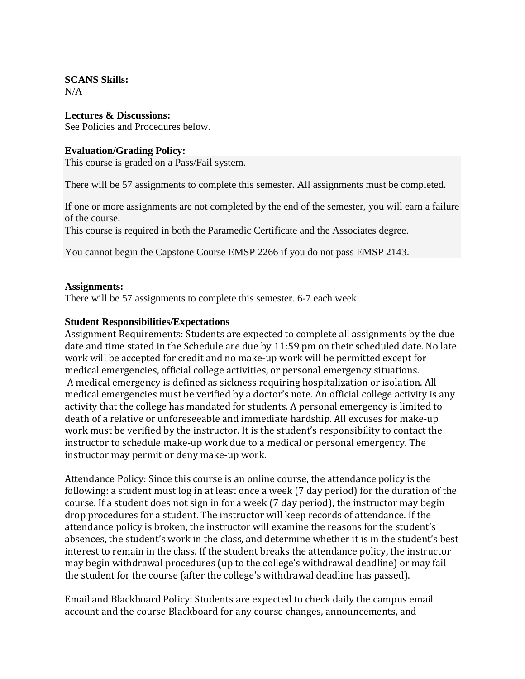#### **SCANS Skills:**  $N/A$

### **Lectures & Discussions:**

See Policies and Procedures below.

# **Evaluation/Grading Policy:**

This course is graded on a Pass/Fail system.

There will be 57 assignments to complete this semester. All assignments must be completed.

If one or more assignments are not completed by the end of the semester, you will earn a failure of the course.

This course is required in both the Paramedic Certificate and the Associates degree.

You cannot begin the Capstone Course EMSP 2266 if you do not pass EMSP 2143.

#### **Assignments:**

There will be 57 assignments to complete this semester. 6-7 each week.

#### **Student Responsibilities/Expectations**

Assignment Requirements: Students are expected to complete all assignments by the due date and time stated in the Schedule are due by 11:59 pm on their scheduled date. No late work will be accepted for credit and no make-up work will be permitted except for medical emergencies, official college activities, or personal emergency situations. A medical emergency is defined as sickness requiring hospitalization or isolation. All medical emergencies must be verified by a doctor's note. An official college activity is any activity that the college has mandated for students. A personal emergency is limited to death of a relative or unforeseeable and immediate hardship. All excuses for make-up work must be verified by the instructor. It is the student's responsibility to contact the instructor to schedule make-up work due to a medical or personal emergency. The instructor may permit or deny make-up work.

Attendance Policy: Since this course is an online course, the attendance policy is the following: a student must log in at least once a week (7 day period) for the duration of the course. If a student does not sign in for a week (7 day period), the instructor may begin drop procedures for a student. The instructor will keep records of attendance. If the attendance policy is broken, the instructor will examine the reasons for the student's absences, the student's work in the class, and determine whether it is in the student's best interest to remain in the class. If the student breaks the attendance policy, the instructor may begin withdrawal procedures (up to the college's withdrawal deadline) or may fail the student for the course (after the college's withdrawal deadline has passed).

Email and Blackboard Policy: Students are expected to check daily the campus email account and the course Blackboard for any course changes, announcements, and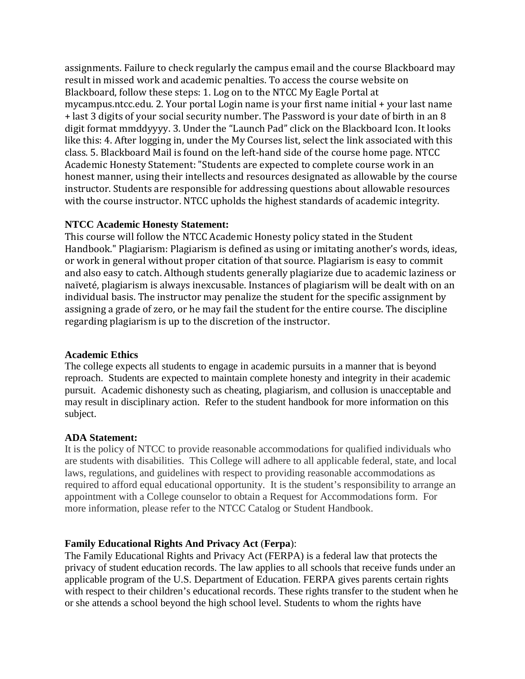assignments. Failure to check regularly the campus email and the course Blackboard may result in missed work and academic penalties. To access the course website on Blackboard, follow these steps: 1. Log on to the NTCC My Eagle Portal at mycampus.ntcc.edu. 2. Your portal Login name is your first name initial + your last name + last 3 digits of your social security number. The Password is your date of birth in an 8 digit format mmddyyyy. 3. Under the "Launch Pad" click on the Blackboard Icon. It looks like this: 4. After logging in, under the My Courses list, select the link associated with this class. 5. Blackboard Mail is found on the left-hand side of the course home page. NTCC Academic Honesty Statement: "Students are expected to complete course work in an honest manner, using their intellects and resources designated as allowable by the course instructor. Students are responsible for addressing questions about allowable resources with the course instructor. NTCC upholds the highest standards of academic integrity.

#### **NTCC Academic Honesty Statement:**

This course will follow the NTCC Academic Honesty policy stated in the Student Handbook." Plagiarism: Plagiarism is defined as using or imitating another's words, ideas, or work in general without proper citation of that source. Plagiarism is easy to commit and also easy to catch. Although students generally plagiarize due to academic laziness or naïveté, plagiarism is always inexcusable. Instances of plagiarism will be dealt with on an individual basis. The instructor may penalize the student for the specific assignment by assigning a grade of zero, or he may fail the student for the entire course. The discipline regarding plagiarism is up to the discretion of the instructor.

#### **Academic Ethics**

The college expects all students to engage in academic pursuits in a manner that is beyond reproach. Students are expected to maintain complete honesty and integrity in their academic pursuit. Academic dishonesty such as cheating, plagiarism, and collusion is unacceptable and may result in disciplinary action. Refer to the student handbook for more information on this subject.

#### **ADA Statement:**

It is the policy of NTCC to provide reasonable accommodations for qualified individuals who are students with disabilities. This College will adhere to all applicable federal, state, and local laws, regulations, and guidelines with respect to providing reasonable accommodations as required to afford equal educational opportunity. It is the student's responsibility to arrange an appointment with a College counselor to obtain a Request for Accommodations form. For more information, please refer to the NTCC Catalog or Student Handbook.

#### **Family Educational Rights And Privacy Act** (**Ferpa**):

The Family Educational Rights and Privacy Act (FERPA) is a federal law that protects the privacy of student education records. The law applies to all schools that receive funds under an applicable program of the U.S. Department of Education. FERPA gives parents certain rights with respect to their children's educational records. These rights transfer to the student when he or she attends a school beyond the high school level. Students to whom the rights have